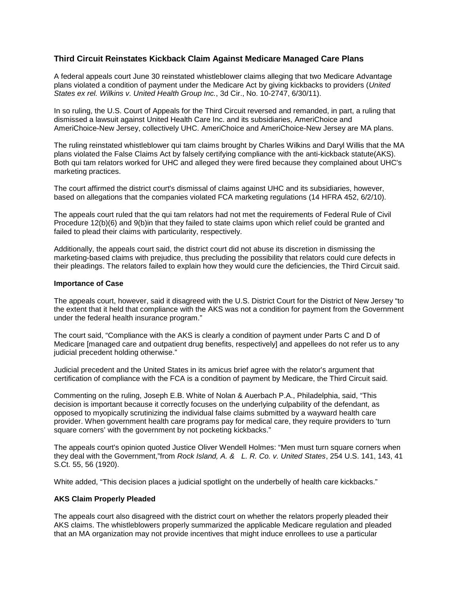## **Third Circuit Reinstates Kickback Claim Against Medicare Managed Care Plans**

A federal appeals court June 30 reinstated whistleblower claims alleging that two Medicare Advantage plans violated a condition of payment under the Medicare Act by giving kickbacks to providers (*United States ex rel. Wilkins v. United Health Group Inc.*, 3d Cir., No. 10-2747, 6/30/11).

In so ruling, the U.S. Court of Appeals for the Third Circuit reversed and remanded, in part, a ruling that dismissed a lawsuit against United Health Care Inc. and its subsidiaries, AmeriChoice and AmeriChoice-New Jersey, collectively UHC. AmeriChoice and AmeriChoice-New Jersey are MA plans.

The ruling reinstated whistleblower qui tam claims brought by Charles Wilkins and Daryl Willis that the MA plans violated the False Claims Act by falsely certifying compliance with the anti-kickback statute(AKS). Both qui tam relators worked for UHC and alleged they were fired because they complained about UHC's marketing practices.

The court affirmed the district court's dismissal of claims against UHC and its subsidiaries, however, based on allegations that the companies violated FCA marketing regulations (14 HFRA 452, 6/2/10).

The appeals court ruled that the qui tam relators had not met the requirements of Federal Rule of Civil Procedure 12(b)(6) and 9(b)in that they failed to state claims upon which relief could be granted and failed to plead their claims with particularity, respectively.

Additionally, the appeals court said, the district court did not abuse its discretion in dismissing the marketing-based claims with prejudice, thus precluding the possibility that relators could cure defects in their pleadings. The relators failed to explain how they would cure the deficiencies, the Third Circuit said.

## **Importance of Case**

The appeals court, however, said it disagreed with the U.S. District Court for the District of New Jersey "to the extent that it held that compliance with the AKS was not a condition for payment from the Government under the federal health insurance program."

The court said, "Compliance with the AKS is clearly a condition of payment under Parts C and D of Medicare [managed care and outpatient drug benefits, respectively] and appellees do not refer us to any judicial precedent holding otherwise."

Judicial precedent and the United States in its amicus brief agree with the relator's argument that certification of compliance with the FCA is a condition of payment by Medicare, the Third Circuit said.

Commenting on the ruling, Joseph E.B. White of Nolan & Auerbach P.A., Philadelphia, said, "This decision is important because it correctly focuses on the underlying culpability of the defendant, as opposed to myopically scrutinizing the individual false claims submitted by a wayward health care provider. When government health care programs pay for medical care, they require providers to 'turn square corners' with the government by not pocketing kickbacks."

The appeals court's opinion quoted Justice Oliver Wendell Holmes: "Men must turn square corners when they deal with the Government,"from *Rock Island, A. & L. R. Co. v. United States*, 254 U.S. 141, 143, 41 S.Ct. 55, 56 (1920).

White added, "This decision places a judicial spotlight on the underbelly of health care kickbacks."

## **AKS Claim Properly Pleaded**

The appeals court also disagreed with the district court on whether the relators properly pleaded their AKS claims. The whistleblowers properly summarized the applicable Medicare regulation and pleaded that an MA organization may not provide incentives that might induce enrollees to use a particular